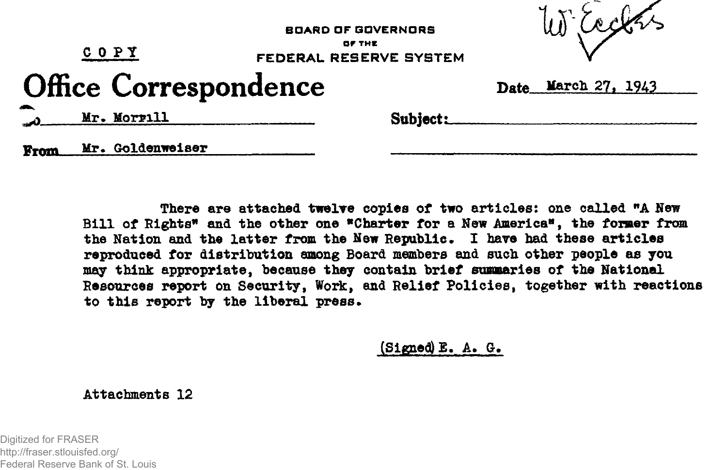| $C$ O $P$ $Y$                |  |                  | <b>BOARD OF GOVERNORS</b><br>OF THE<br>FEDERAL RESERVE SYSTEM |          | W Eachs             |  |
|------------------------------|--|------------------|---------------------------------------------------------------|----------|---------------------|--|
| <b>Office Correspondence</b> |  |                  |                                                               |          | Date March 27, 1943 |  |
| -                            |  | Mr. Morrill      |                                                               | Subject: |                     |  |
| From                         |  | Mr. Goldenweiser |                                                               |          |                     |  |

There are attached twelve copies of two articles: one called "A New **Bill of Eights\* and the other one "Charter for a Hew America", the former from** the Nation and the latter from the New Republic. I have had these articles **reproduced for distribution among Board members and such other people as you may think appropriate, because they contain brief summaries of the National Resources report on Security, Work, and Relief Policies, together with reactions to this report by the liberal press.**

**(Signed) E. A. G.**

**Attachments 12**

Digitized for FRASER http://fraser.stlouisfed.org/ Federal Reserve Bank of St. Louis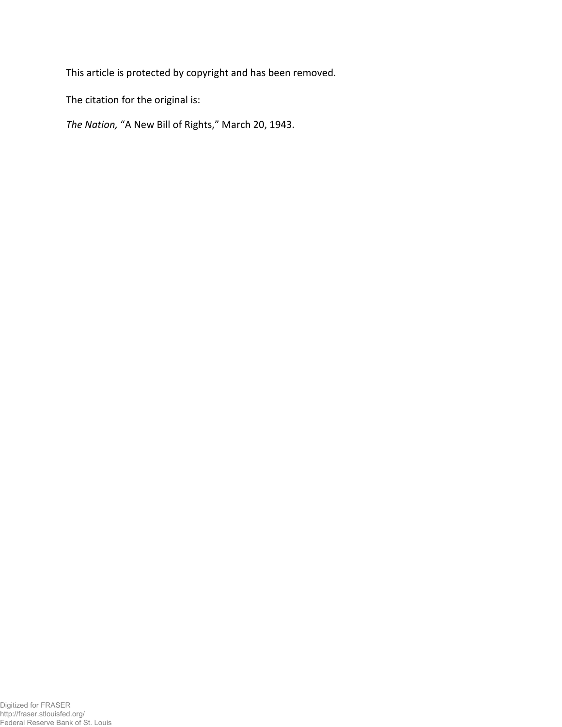This article is protected by copyright and has been removed.

The citation for the original is:

*The Nation,* "A New Bill of Rights," March 20, 1943.